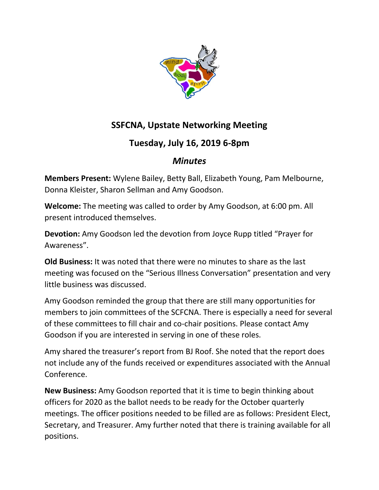

## **SSFCNA, Upstate Networking Meeting**

## **Tuesday, July 16, 2019 6-8pm**

## *Minutes*

**Members Present:** Wylene Bailey, Betty Ball, Elizabeth Young, Pam Melbourne, Donna Kleister, Sharon Sellman and Amy Goodson.

**Welcome:** The meeting was called to order by Amy Goodson, at 6:00 pm. All present introduced themselves.

**Devotion:** Amy Goodson led the devotion from Joyce Rupp titled "Prayer for Awareness".

**Old Business:** It was noted that there were no minutes to share as the last meeting was focused on the "Serious Illness Conversation" presentation and very little business was discussed.

Amy Goodson reminded the group that there are still many opportunities for members to join committees of the SCFCNA. There is especially a need for several of these committees to fill chair and co-chair positions. Please contact Amy Goodson if you are interested in serving in one of these roles.

Amy shared the treasurer's report from BJ Roof. She noted that the report does not include any of the funds received or expenditures associated with the Annual Conference.

**New Business:** Amy Goodson reported that it is time to begin thinking about officers for 2020 as the ballot needs to be ready for the October quarterly meetings. The officer positions needed to be filled are as follows: President Elect, Secretary, and Treasurer. Amy further noted that there is training available for all positions.